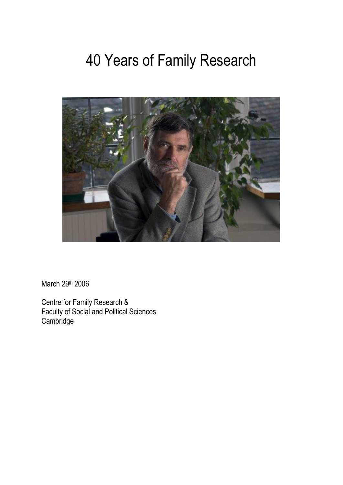# 40 Years of Family Research



March 29th 2006

Centre for Family Research & Faculty of Social and Political Sciences **Cambridge**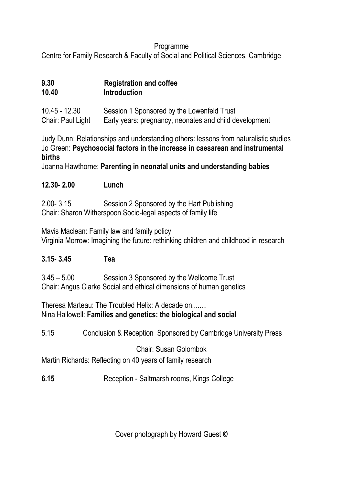#### Programme

Centre for Family Research & Faculty of Social and Political Sciences, Cambridge

| 9.30  | <b>Registration and coffee</b> |
|-------|--------------------------------|
| 10.40 | Introduction                   |

10.45 - 12.30 Session 1 Sponsored by the Lowenfeld Trust Chair: Paul Light Early years: pregnancy, neonates and child development

Judy Dunn: Relationships and understanding others: lessons from naturalistic studies Jo Green: **Psychosocial factors in the increase in caesarean and instrumental births**

Joanna Hawthorne: **Parenting in neonatal units and understanding babies**

**12.30- 2.00 Lunch**

2.00- 3.15 Session 2 Sponsored by the Hart Publishing Chair: Sharon Witherspoon Socio-legal aspects of family life

Mavis Maclean: Family law and family policy Virginia Morrow: Imagining the future: rethinking children and childhood in research

# **3.15- 3.45 Tea**

3.45 – 5.00 Session 3 Sponsored by the Wellcome Trust Chair: Angus Clarke Social and ethical dimensions of human genetics

Theresa Marteau: The Troubled Helix: A decade on........ Nina Hallowell: **Families and genetics: the biological and social**

5.15 Conclusion & Reception Sponsored by Cambridge University Press

# Chair: Susan Golombok

Martin Richards: Reflecting on 40 years of family research

**6.15** Reception - Saltmarsh rooms, Kings College

Cover photograph by Howard Guest ©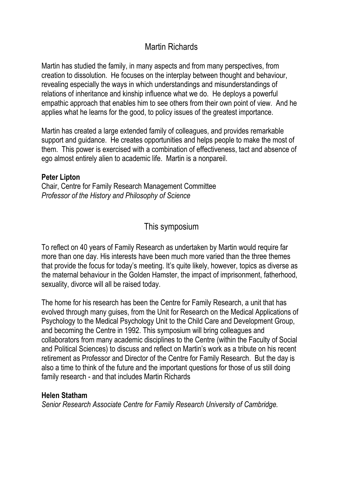# Martin Richards

Martin has studied the family, in many aspects and from many perspectives, from creation to dissolution. He focuses on the interplay between thought and behaviour, revealing especially the ways in which understandings and misunderstandings of relations of inheritance and kinship influence what we do. He deploys a powerful empathic approach that enables him to see others from their own point of view. And he applies what he learns for the good, to policy issues of the greatest importance.

Martin has created a large extended family of colleagues, and provides remarkable support and guidance. He creates opportunities and helps people to make the most of them. This power is exercised with a combination of effectiveness, tact and absence of ego almost entirely alien to academic life. Martin is a nonpareil.

#### **Peter Lipton**

Chair, Centre for Family Research Management Committee *Professor of the History and Philosophy of Science*

## This symposium

To reflect on 40 years of Family Research as undertaken by Martin would require far more than one day. His interests have been much more varied than the three themes that provide the focus for today's meeting. It's quite likely, however, topics as diverse as the maternal behaviour in the Golden Hamster, the impact of imprisonment, fatherhood, sexuality, divorce will all be raised today.

The home for his research has been the Centre for Family Research, a unit that has evolved through many guises, from the Unit for Research on the Medical Applications of Psychology to the Medical Psychology Unit to the Child Care and Development Group, and becoming the Centre in 1992. This symposium will bring colleagues and collaborators from many academic disciplines to the Centre (within the Faculty of Social and Political Sciences) to discuss and reflect on Martin's work as a tribute on his recent retirement as Professor and Director of the Centre for Family Research. But the day is also a time to think of the future and the important questions for those of us still doing family research - and that includes Martin Richards

#### **Helen Statham**

*Senior Research Associate Centre for Family Research University of Cambridge.*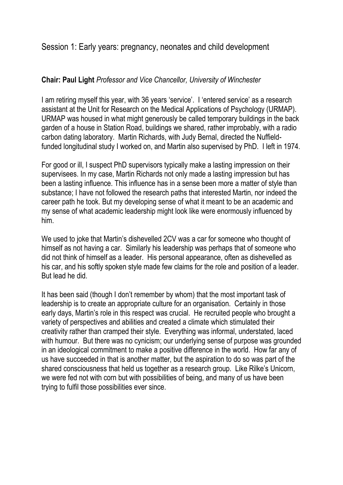Session 1: Early years: pregnancy, neonates and child development

#### **Chair: Paul Light** *Professor and Vice Chancellor, University of Winchester*

I am retiring myself this year, with 36 years 'service'. I 'entered service' as a research assistant at the Unit for Research on the Medical Applications of Psychology (URMAP). URMAP was housed in what might generously be called temporary buildings in the back garden of a house in Station Road, buildings we shared, rather improbably, with a radio carbon dating laboratory. Martin Richards, with Judy Bernal, directed the Nuffieldfunded longitudinal study I worked on, and Martin also supervised by PhD. I left in 1974.

For good or ill, I suspect PhD supervisors typically make a lasting impression on their supervisees. In my case, Martin Richards not only made a lasting impression but has been a lasting influence. This influence has in a sense been more a matter of style than substance; I have not followed the research paths that interested Martin, nor indeed the career path he took. But my developing sense of what it meant to be an academic and my sense of what academic leadership might look like were enormously influenced by him.

We used to joke that Martin's dishevelled 2CV was a car for someone who thought of himself as not having a car. Similarly his leadership was perhaps that of someone who did not think of himself as a leader. His personal appearance, often as dishevelled as his car, and his softly spoken style made few claims for the role and position of a leader. But lead he did.

It has been said (though I don't remember by whom) that the most important task of leadership is to create an appropriate culture for an organisation. Certainly in those early days, Martin's role in this respect was crucial. He recruited people who brought a variety of perspectives and abilities and created a climate which stimulated their creativity rather than cramped their style. Everything was informal, understated, laced with humour. But there was no cynicism; our underlying sense of purpose was grounded in an ideological commitment to make a positive difference in the world. How far any of us have succeeded in that is another matter, but the aspiration to do so was part of the shared consciousness that held us together as a research group. Like Rilke's Unicorn, we were fed not with corn but with possibilities of being, and many of us have been trying to fulfil those possibilities ever since.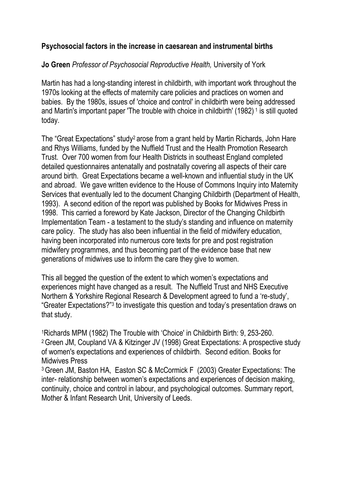#### **Psychosocial factors in the increase in caesarean and instrumental births**

#### **Jo Green** *Professor of Psychosocial Reproductive Health,* University of York

Martin has had a long-standing interest in childbirth, with important work throughout the 1970s looking at the effects of maternity care policies and practices on women and babies. By the 1980s, issues of 'choice and control' in childbirth were being addressed and Martin's important paper 'The trouble with choice in childbirth' (1982)<sup>1</sup> is still quoted today.

The "Great Expectations" study2 arose from a grant held by Martin Richards, John Hare and Rhys Williams, funded by the Nuffield Trust and the Health Promotion Research Trust. Over 700 women from four Health Districts in southeast England completed detailed questionnaires antenatally and postnatally covering all aspects of their care around birth. Great Expectations became a well-known and influential study in the UK and abroad. We gave written evidence to the House of Commons Inquiry into Maternity Services that eventually led to the document Changing Childbirth (Department of Health, 1993). A second edition of the report was published by Books for Midwives Press in 1998. This carried a foreword by Kate Jackson, Director of the Changing Childbirth Implementation Team - a testament to the study's standing and influence on maternity care policy. The study has also been influential in the field of midwifery education, having been incorporated into numerous core texts for pre and post registration midwifery programmes, and thus becoming part of the evidence base that new generations of midwives use to inform the care they give to women.

This all begged the question of the extent to which women's expectations and experiences might have changed as a result. The Nuffield Trust and NHS Executive Northern & Yorkshire Regional Research & Development agreed to fund a 're-study', "Greater Expectations?"<sup>3</sup> to investigate this question and today's presentation draws on that study.

<sup>1</sup>Richards MPM (1982) The Trouble with 'Choice' in Childbirth Birth: 9, 253-260. <sup>2</sup>Green JM, Coupland VA & Kitzinger JV (1998) Great Expectations: A prospective study of women's expectations and experiences of childbirth. Second edition. Books for Midwives Press

<sup>3</sup>Green JM, Baston HA, Easton SC & McCormick F (2003) Greater Expectations: The inter- relationship between women's expectations and experiences of decision making, continuity, choice and control in labour, and psychological outcomes. Summary report, Mother & Infant Research Unit, University of Leeds.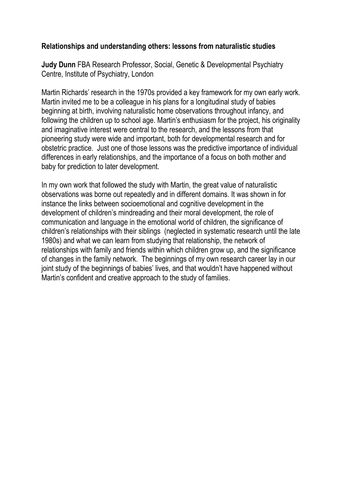#### **Relationships and understanding others: lessons from naturalistic studies**

**Judy Dunn** FBA Research Professor, Social, Genetic & Developmental Psychiatry Centre, Institute of Psychiatry, London

Martin Richards' research in the 1970s provided a key framework for my own early work. Martin invited me to be a colleague in his plans for a longitudinal study of babies beginning at birth, involving naturalistic home observations throughout infancy, and following the children up to school age. Martin's enthusiasm for the project, his originality and imaginative interest were central to the research, and the lessons from that pioneering study were wide and important, both for developmental research and for obstetric practice. Just one of those lessons was the predictive importance of individual differences in early relationships, and the importance of a focus on both mother and baby for prediction to later development.

In my own work that followed the study with Martin, the great value of naturalistic observations was borne out repeatedly and in different domains. It was shown in for instance the links between socioemotional and cognitive development in the development of children's mindreading and their moral development, the role of communication and language in the emotional world of children, the significance of children's relationships with their siblings (neglected in systematic research until the late 1980s) and what we can learn from studying that relationship, the network of relationships with family and friends within which children grow up, and the significance of changes in the family network. The beginnings of my own research career lay in our joint study of the beginnings of babies' lives, and that wouldn't have happened without Martin's confident and creative approach to the study of families.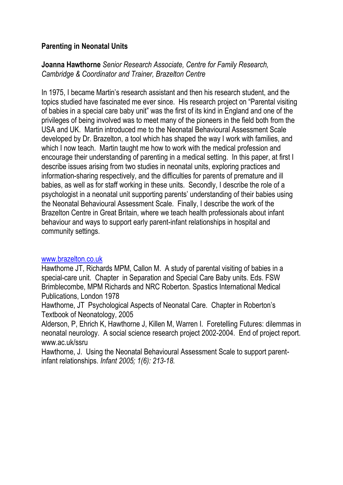#### **Parenting in Neonatal Units**

**Joanna Hawthorne** *Senior Research Associate, Centre for Family Research, Cambridge & Coordinator and Trainer, Brazelton Centre*

In 1975, I became Martin's research assistant and then his research student, and the topics studied have fascinated me ever since. His research project on "Parental visiting of babies in a special care baby unit" was the first of its kind in England and one of the privileges of being involved was to meet many of the pioneers in the field both from the USA and UK. Martin introduced me to the Neonatal Behavioural Assessment Scale developed by Dr. Brazelton, a tool which has shaped the way I work with families, and which I now teach. Martin taught me how to work with the medical profession and encourage their understanding of parenting in a medical setting. In this paper, at first I describe issues arising from two studies in neonatal units, exploring practices and information-sharing respectively, and the difficulties for parents of premature and ill babies, as well as for staff working in these units. Secondly, I describe the role of a psychologist in a neonatal unit supporting parents' understanding of their babies using the Neonatal Behavioural Assessment Scale. Finally, I describe the work of the Brazelton Centre in Great Britain, where we teach health professionals about infant behaviour and ways to support early parent-infant relationships in hospital and community settings.

#### [www.brazelton.co.uk](http://www.brazelton.co.uk/)

Hawthorne JT, Richards MPM, Callon M. A study of parental visiting of babies in a special-care unit. Chapter in Separation and Special Care Baby units. Eds. FSW Brimblecombe, MPM Richards and NRC Roberton. Spastics International Medical Publications, London 1978

Hawthorne, JT Psychological Aspects of Neonatal Care. Chapter in Roberton's Textbook of Neonatology, 2005

Alderson, P, Ehrich K, Hawthorne J, Killen M, Warren I. Foretelling Futures: dilemmas in neonatal neurology. A social science research project 2002-2004. End of project report. www.ac.uk/ssru

Hawthorne, J. Using the Neonatal Behavioural Assessment Scale to support parentinfant relationships. *Infant 2005; 1(6): 213-18.*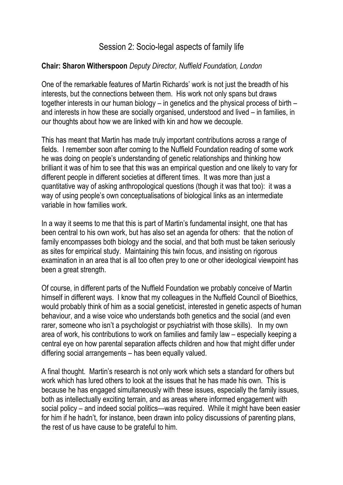# Session 2: Socio-legal aspects of family life

#### **Chair: Sharon Witherspoon** *Deputy Director, Nuffield Foundation, London*

One of the remarkable features of Martin Richards' work is not just the breadth of his interests, but the connections between them. His work not only spans but draws together interests in our human biology – in genetics and the physical process of birth – and interests in how these are socially organised, understood and lived – in families, in our thoughts about how we are linked with kin and how we decouple.

This has meant that Martin has made truly important contributions across a range of fields. I remember soon after coming to the Nuffield Foundation reading of some work he was doing on people's understanding of genetic relationships and thinking how brilliant it was of him to see that this was an empirical question and one likely to vary for different people in different societies at different times. It was more than just a quantitative way of asking anthropological questions (though it was that too): it was a way of using people's own conceptualisations of biological links as an intermediate variable in how families work.

In a way it seems to me that this is part of Martin's fundamental insight, one that has been central to his own work, but has also set an agenda for others: that the notion of family encompasses both biology and the social, and that both must be taken seriously as sites for empirical study. Maintaining this twin focus, and insisting on rigorous examination in an area that is all too often prey to one or other ideological viewpoint has been a great strength.

Of course, in different parts of the Nuffield Foundation we probably conceive of Martin himself in different ways. I know that my colleagues in the Nuffield Council of Bioethics, would probably think of him as a social geneticist, interested in genetic aspects of human behaviour, and a wise voice who understands both genetics and the social (and even rarer, someone who isn't a psychologist or psychiatrist with those skills). In my own area of work, his contributions to work on families and family law – especially keeping a central eye on how parental separation affects children and how that might differ under differing social arrangements – has been equally valued.

A final thought. Martin's research is not only work which sets a standard for others but work which has lured others to look at the issues that he has made his own. This is because he has engaged simultaneously with these issues, especially the family issues, both as intellectually exciting terrain, and as areas where informed engagement with social policy – and indeed social politics—was required. While it might have been easier for him if he hadn't, for instance, been drawn into policy discussions of parenting plans, the rest of us have cause to be grateful to him.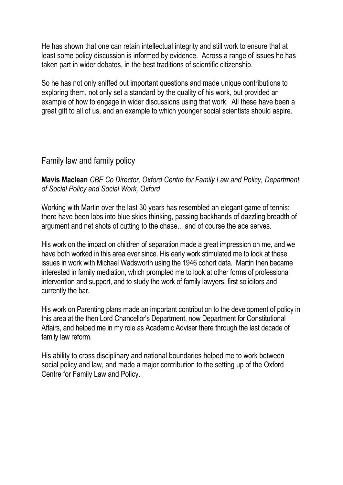He has shown that one can retain intellectual integrity and still work to ensure that at least some policy discussion is informed by evidence. Across a range of issues he has taken part in wider debates, in the best traditions of scientific citizenship.

So he has not only sniffed out important questions and made unique contributions to exploring them, not only set a standard by the quality of his work, but provided an example of how to engage in wider discussions using that work. All these have been a great gift to all of us, and an example to which younger social scientists should aspire.

## Family law and family policy

**Mavis Maclean** *CBE Co Director, Oxford Centre for Family Law and Policy, Department of Social Policy and Social Work, Oxford*

Working with Martin over the last 30 years has resembled an elegant game of tennis: there have been lobs into blue skies thinking, passing backhands of dazzling breadth of argument and net shots of cutting to the chase... and of course the ace serves.

His work on the impact on children of separation made a great impression on me, and we have both worked in this area ever since. His early work stimulated me to look at these issues in work with Michael Wadsworth using the 1946 cohort data. Martin then became interested in family mediation, which prompted me to look at other forms of professional intervention and support, and to study the work of family lawyers, first solicitors and currently the bar.

His work on Parenting plans made an important contribution to the development of policy in this area at the then Lord Chancellor's Department, now Department for Constitutional Affairs, and helped me in my role as Academic Adviser there through the last decade of family law reform.

His ability to cross disciplinary and national boundaries helped me to work between social policy and law, and made a major contribution to the setting up of the Oxford Centre for Family Law and Policy.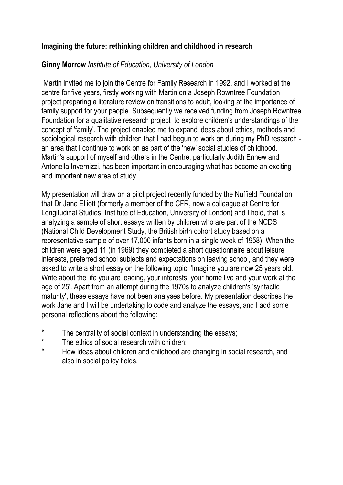#### **Imagining the future: rethinking children and childhood in research**

#### **Ginny Morrow** *Institute of Education, University of London*

Martin invited me to join the Centre for Family Research in 1992, and I worked at the centre for five years, firstly working with Martin on a Joseph Rowntree Foundation project preparing a literature review on transitions to adult, looking at the importance of family support for your people. Subsequently we received funding from Joseph Rowntree Foundation for a qualitative research project to explore children's understandings of the concept of 'family'. The project enabled me to expand ideas about ethics, methods and sociological research with children that I had begun to work on during my PhD research an area that I continue to work on as part of the 'new' social studies of childhood. Martin's support of myself and others in the Centre, particularly Judith Ennew and Antonella Invernizzi, has been important in encouraging what has become an exciting and important new area of study.

My presentation will draw on a pilot project recently funded by the Nuffield Foundation that Dr Jane Elliott (formerly a member of the CFR, now a colleague at Centre for Longitudinal Studies, Institute of Education, University of London) and I hold, that is analyzing a sample of short essays written by children who are part of the NCDS (National Child Development Study, the British birth cohort study based on a representative sample of over 17,000 infants born in a single week of 1958). When the children were aged 11 (in 1969) they completed a short questionnaire about leisure interests, preferred school subjects and expectations on leaving school, and they were asked to write a short essay on the following topic: 'Imagine you are now 25 years old. Write about the life you are leading, your interests, your home live and your work at the age of 25'. Apart from an attempt during the 1970s to analyze children's 'syntactic maturity', these essays have not been analyses before. My presentation describes the work Jane and I will be undertaking to code and analyze the essays, and I add some personal reflections about the following:

- The centrality of social context in understanding the essays;
- \* The ethics of social research with children;<br>Now ideas about objidred and objidheed are
- How ideas about children and childhood are changing in social research, and also in social policy fields.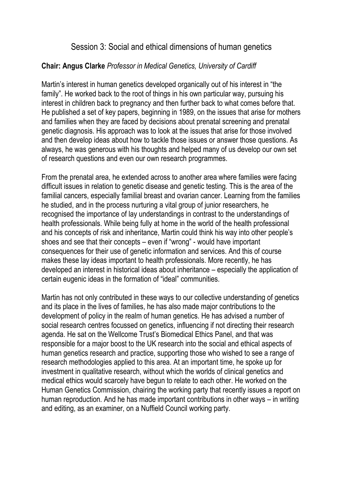# Session 3: Social and ethical dimensions of human genetics

#### **Chair: Angus Clarke** *Professor in Medical Genetics, University of Cardiff*

Martin's interest in human genetics developed organically out of his interest in "the family". He worked back to the root of things in his own particular way, pursuing his interest in children back to pregnancy and then further back to what comes before that. He published a set of key papers, beginning in 1989, on the issues that arise for mothers and families when they are faced by decisions about prenatal screening and prenatal genetic diagnosis. His approach was to look at the issues that arise for those involved and then develop ideas about how to tackle those issues or answer those questions. As always, he was generous with his thoughts and helped many of us develop our own set of research questions and even our own research programmes.

From the prenatal area, he extended across to another area where families were facing difficult issues in relation to genetic disease and genetic testing. This is the area of the familial cancers, especially familial breast and ovarian cancer. Learning from the families he studied, and in the process nurturing a vital group of junior researchers, he recognised the importance of lay understandings in contrast to the understandings of health professionals. While being fully at home in the world of the health professional and his concepts of risk and inheritance, Martin could think his way into other people's shoes and see that their concepts – even if "wrong" - would have important consequences for their use of genetic information and services. And this of course makes these lay ideas important to health professionals. More recently, he has developed an interest in historical ideas about inheritance – especially the application of certain eugenic ideas in the formation of "ideal" communities.

Martin has not only contributed in these ways to our collective understanding of genetics and its place in the lives of families, he has also made major contributions to the development of policy in the realm of human genetics. He has advised a number of social research centres focussed on genetics, influencing if not directing their research agenda. He sat on the Wellcome Trust's Biomedical Ethics Panel, and that was responsible for a major boost to the UK research into the social and ethical aspects of human genetics research and practice, supporting those who wished to see a range of research methodologies applied to this area. At an important time, he spoke up for investment in qualitative research, without which the worlds of clinical genetics and medical ethics would scarcely have begun to relate to each other. He worked on the Human Genetics Commission, chairing the working party that recently issues a report on human reproduction. And he has made important contributions in other ways – in writing and editing, as an examiner, on a Nuffield Council working party.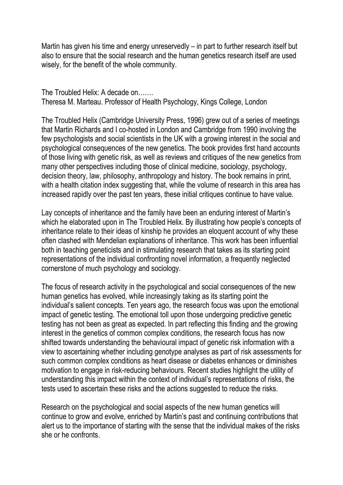Martin has given his time and energy unreservedly – in part to further research itself but also to ensure that the social research and the human genetics research itself are used wisely, for the benefit of the whole community.

The Troubled Helix: A decade on……. Theresa M. Marteau. Professor of Health Psychology, Kings College, London

The Troubled Helix (Cambridge University Press, 1996) grew out of a series of meetings that Martin Richards and I co-hosted in London and Cambridge from 1990 involving the few psychologists and social scientists in the UK with a growing interest in the social and psychological consequences of the new genetics. The book provides first hand accounts of those living with genetic risk, as well as reviews and critiques of the new genetics from many other perspectives including those of clinical medicine, sociology, psychology, decision theory, law, philosophy, anthropology and history. The book remains in print, with a health citation index suggesting that, while the volume of research in this area has increased rapidly over the past ten years, these initial critiques continue to have value.

Lay concepts of inheritance and the family have been an enduring interest of Martin's which he elaborated upon in The Troubled Helix. By illustrating how people's concepts of inheritance relate to their ideas of kinship he provides an eloquent account of why these often clashed with Mendelian explanations of inheritance. This work has been influential both in teaching geneticists and in stimulating research that takes as its starting point representations of the individual confronting novel information, a frequently neglected cornerstone of much psychology and sociology.

The focus of research activity in the psychological and social consequences of the new human genetics has evolved, while increasingly taking as its starting point the individual's salient concepts. Ten years ago, the research focus was upon the emotional impact of genetic testing. The emotional toll upon those undergoing predictive genetic testing has not been as great as expected. In part reflecting this finding and the growing interest in the genetics of common complex conditions, the research focus has now shifted towards understanding the behavioural impact of genetic risk information with a view to ascertaining whether including genotype analyses as part of risk assessments for such common complex conditions as heart disease or diabetes enhances or diminishes motivation to engage in risk-reducing behaviours. Recent studies highlight the utility of understanding this impact within the context of individual's representations of risks, the tests used to ascertain these risks and the actions suggested to reduce the risks.

Research on the psychological and social aspects of the new human genetics will continue to grow and evolve, enriched by Martin's past and continuing contributions that alert us to the importance of starting with the sense that the individual makes of the risks she or he confronts.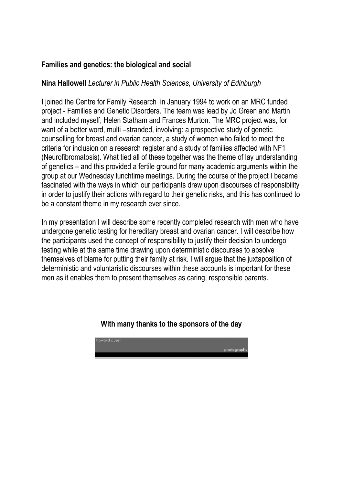#### **Families and genetics: the biological and social**

#### **Nina Hallowell** *Lecturer in Public Health Sciences, University of Edinburgh*

I joined the Centre for Family Research in January 1994 to work on an MRC funded project - Families and Genetic Disorders. The team was lead by Jo Green and Martin and included myself, Helen Statham and Frances Murton. The MRC project was, for want of a better word, multi –stranded, involving: a prospective study of genetic counselling for breast and ovarian cancer, a study of women who failed to meet the criteria for inclusion on a research register and a study of families affected with NF1 (Neurofibromatosis). What tied all of these together was the theme of lay understanding of genetics – and this provided a fertile ground for many academic arguments within the group at our Wednesday lunchtime meetings. During the course of the project I became fascinated with the ways in which our participants drew upon discourses of responsibility in order to justify their actions with regard to their genetic risks, and this has continued to be a constant theme in my research ever since.

In my presentation I will describe some recently completed research with men who have undergone genetic testing for hereditary breast and ovarian cancer. I will describe how the participants used the concept of responsibility to justify their decision to undergo testing while at the same time drawing upon deterministic discourses to absolve themselves of blame for putting their family at risk. I will argue that the juxtaposition of deterministic and voluntaristic discourses within these accounts is important for these men as it enables them to present themselves as caring, responsible parents.

#### **With many thanks to the sponsors of the day**